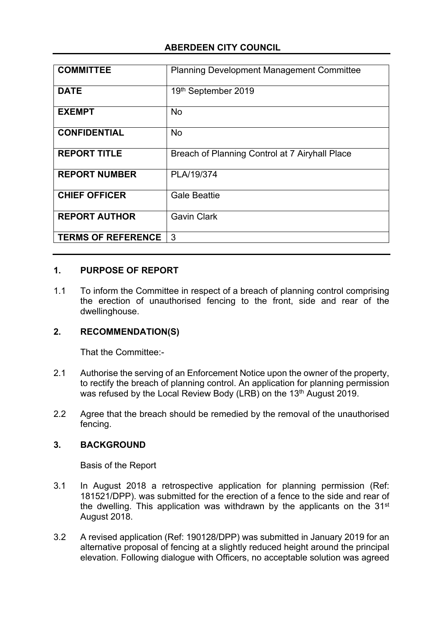## **ABERDEEN CITY COUNCIL**

| <b>COMMITTEE</b>          | <b>Planning Development Management Committee</b> |
|---------------------------|--------------------------------------------------|
| <b>DATE</b>               | 19th September 2019                              |
| <b>EXEMPT</b>             | <b>No</b>                                        |
| <b>CONFIDENTIAL</b>       | <b>No</b>                                        |
| <b>REPORT TITLE</b>       | Breach of Planning Control at 7 Airyhall Place   |
| <b>REPORT NUMBER</b>      | PLA/19/374                                       |
| <b>CHIEF OFFICER</b>      | <b>Gale Beattie</b>                              |
| <b>REPORT AUTHOR</b>      | <b>Gavin Clark</b>                               |
| <b>TERMS OF REFERENCE</b> | 3                                                |

#### **1. PURPOSE OF REPORT**

1.1 To inform the Committee in respect of a breach of planning control comprising the erection of unauthorised fencing to the front, side and rear of the dwellinghouse.

#### **2. RECOMMENDATION(S)**

That the Committee:-

- 2.1 Authorise the serving of an Enforcement Notice upon the owner of the property, to rectify the breach of planning control. An application for planning permission was refused by the Local Review Body (LRB) on the 13<sup>th</sup> August 2019.
- 2.2 Agree that the breach should be remedied by the removal of the unauthorised fencing.

#### **3. BACKGROUND**

Basis of the Report

- 3.1 In August 2018 a retrospective application for planning permission (Ref: 181521/DPP). was submitted for the erection of a fence to the side and rear of the dwelling. This application was withdrawn by the applicants on the 31<sup>st</sup> August 2018.
- 3.2 A revised application (Ref: 190128/DPP) was submitted in January 2019 for an alternative proposal of fencing at a slightly reduced height around the principal elevation. Following dialogue with Officers, no acceptable solution was agreed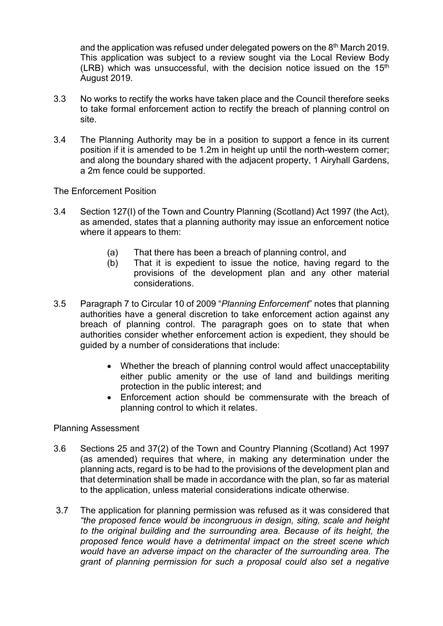and the application was refused under delegated powers on the 8<sup>th</sup> March 2019. This application was subject to a review sought via the Local Review Body (LRB) which was unsuccessful, with the decision notice issued on the  $15<sup>th</sup>$ August 2019.

- 3.3 No works to rectify the works have taken place and the Council therefore seeks to take formal enforcement action to rectify the breach of planning control on site.
- 3.4 The Planning Authority may be in a position to support a fence in its current position if it is amended to be 1.2m in height up until the north-western corner; and along the boundary shared with the adjacent property, 1 Airyhall Gardens, a 2m fence could be supported.

The Enforcement Position

- 3.4 Section 127(I) of the Town and Country Planning (Scotland) Act 1997 (the Act), as amended, states that a planning authority may issue an enforcement notice where it appears to them:
	- (a) That there has been a breach of planning control, and
	- (b) That it is expedient to issue the notice, having regard to the provisions of the development plan and any other material considerations.
- 3.5 Paragraph 7 to Circular 10 of 2009 "*Planning Enforcement*" notes that planning authorities have a general discretion to take enforcement action against any breach of planning control. The paragraph goes on to state that when authorities consider whether enforcement action is expedient, they should be guided by a number of considerations that include:
	- Whether the breach of planning control would affect unacceptability either public amenity or the use of land and buildings meriting protection in the public interest; and
	- Enforcement action should be commensurate with the breach of planning control to which it relates.

Planning Assessment

- 3.6 Sections 25 and 37(2) of the Town and Country Planning (Scotland) Act 1997 (as amended) requires that where, in making any determination under the planning acts, regard is to be had to the provisions of the development plan and that determination shall be made in accordance with the plan, so far as material to the application, unless material considerations indicate otherwise.
- 3.7 The application for planning permission was refused as it was considered that *"the proposed fence would be incongruous in design, siting, scale and height to the original building and the surrounding area. Because of its height, the proposed fence would have a detrimental impact on the street scene which would have an adverse impact on the character of the surrounding area. The grant of planning permission for such a proposal could also set a negative*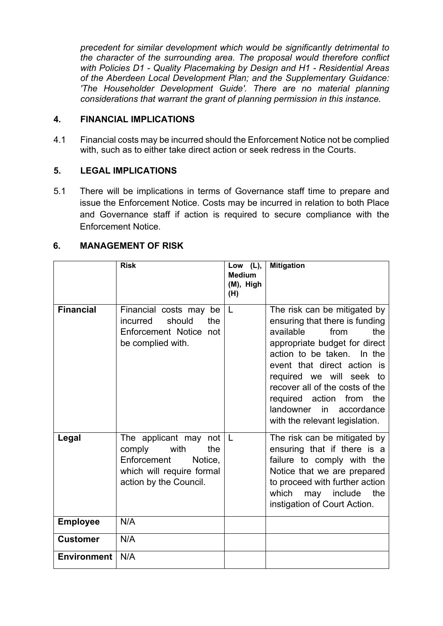*precedent for similar development which would be significantly detrimental to the character of the surrounding area. The proposal would therefore conflict with Policies D1 - Quality Placemaking by Design and H1 - Residential Areas of the Aberdeen Local Development Plan; and the Supplementary Guidance: 'The Householder Development Guide'. There are no material planning considerations that warrant the grant of planning permission in this instance.*

#### **4. FINANCIAL IMPLICATIONS**

4.1 Financial costs may be incurred should the Enforcement Notice not be complied with, such as to either take direct action or seek redress in the Courts.

#### **5. LEGAL IMPLICATIONS**

5.1 There will be implications in terms of Governance staff time to prepare and issue the Enforcement Notice. Costs may be incurred in relation to both Place and Governance staff if action is required to secure compliance with the Enforcement Notice.

## **6. MANAGEMENT OF RISK**

|                    | <b>Risk</b>                                                                                                                     | Low (L),<br><b>Medium</b><br>(M), High<br>(H) | <b>Mitigation</b>                                                                                                                                                                                                                                                                                                                                      |
|--------------------|---------------------------------------------------------------------------------------------------------------------------------|-----------------------------------------------|--------------------------------------------------------------------------------------------------------------------------------------------------------------------------------------------------------------------------------------------------------------------------------------------------------------------------------------------------------|
| <b>Financial</b>   | Financial costs may be<br>should<br>the<br>incurred<br>Enforcement Notice not<br>be complied with.                              | L                                             | The risk can be mitigated by<br>ensuring that there is funding<br>available<br>the<br>from<br>appropriate budget for direct<br>action to be taken. In the<br>event that direct action is<br>required we will seek to<br>recover all of the costs of the<br>required action from the<br>landowner<br>in<br>accordance<br>with the relevant legislation. |
| Legal              | The applicant may not<br>comply<br>with<br>the<br>Enforcement<br>Notice,<br>which will require formal<br>action by the Council. | L                                             | The risk can be mitigated by<br>ensuring that if there is a<br>failure to comply with the<br>Notice that we are prepared<br>to proceed with further action<br>which<br>the<br>may include<br>instigation of Court Action.                                                                                                                              |
| <b>Employee</b>    | N/A                                                                                                                             |                                               |                                                                                                                                                                                                                                                                                                                                                        |
| <b>Customer</b>    | N/A                                                                                                                             |                                               |                                                                                                                                                                                                                                                                                                                                                        |
| <b>Environment</b> | N/A                                                                                                                             |                                               |                                                                                                                                                                                                                                                                                                                                                        |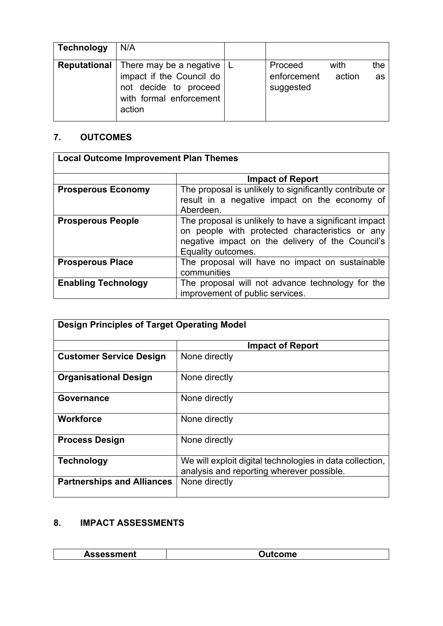| <b>Technology</b>   | N/A                                                                                                                   |                                     |                |           |
|---------------------|-----------------------------------------------------------------------------------------------------------------------|-------------------------------------|----------------|-----------|
| <b>Reputational</b> | There may be a negative $ $<br>impact if the Council do<br>not decide to proceed<br>with formal enforcement<br>action | Proceed<br>enforcement<br>suggested | with<br>action | the<br>as |

## **7. OUTCOMES**

| <b>Local Outcome Improvement Plan Themes</b> |                                                         |
|----------------------------------------------|---------------------------------------------------------|
|                                              |                                                         |
|                                              | <b>Impact of Report</b>                                 |
| <b>Prosperous Economy</b>                    | The proposal is unlikely to significantly contribute or |
|                                              | result in a negative impact on the economy of           |
|                                              | Aberdeen.                                               |
| <b>Prosperous People</b>                     | The proposal is unlikely to have a significant impact   |
|                                              | on people with protected characteristics or any         |
|                                              | negative impact on the delivery of the Council's        |
|                                              | Equality outcomes.                                      |
| <b>Prosperous Place</b>                      | The proposal will have no impact on sustainable         |
|                                              | communities                                             |
| <b>Enabling Technology</b>                   | The proposal will not advance technology for the        |
|                                              | improvement of public services.                         |

| <b>Design Principles of Target Operating Model</b> |                                                                                                       |
|----------------------------------------------------|-------------------------------------------------------------------------------------------------------|
|                                                    | <b>Impact of Report</b>                                                                               |
| <b>Customer Service Design</b>                     | None directly                                                                                         |
| <b>Organisational Design</b>                       | None directly                                                                                         |
| Governance                                         | None directly                                                                                         |
| <b>Workforce</b>                                   | None directly                                                                                         |
| <b>Process Design</b>                              | None directly                                                                                         |
| <b>Technology</b>                                  | We will exploit digital technologies in data collection,<br>analysis and reporting wherever possible. |
| <b>Partnerships and Alliances</b>                  | None directly                                                                                         |

# **8. IMPACT ASSESSMENTS**

| ----<br>JIIL. | ле |
|---------------|----|